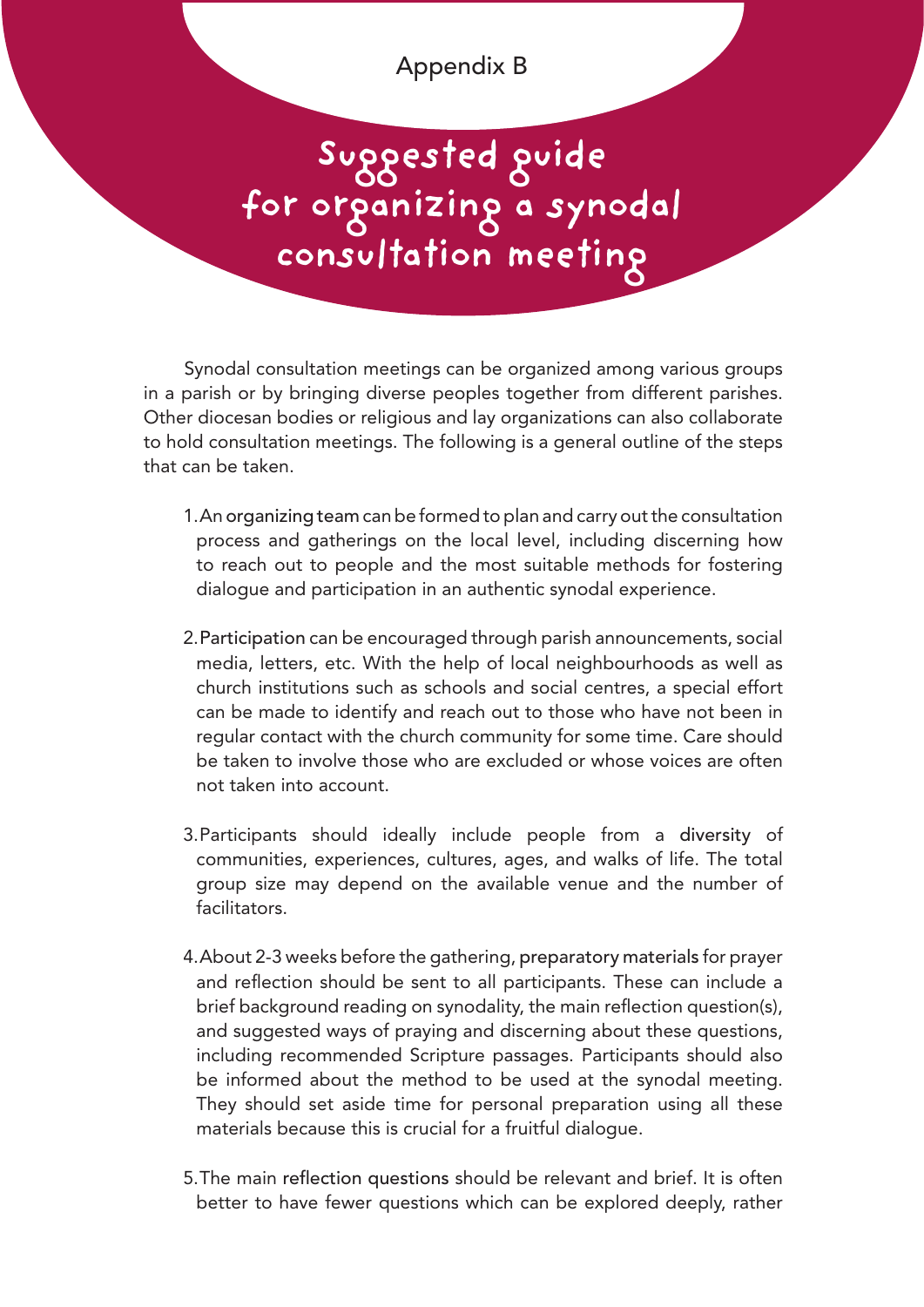## Appendix B

## **Suggested guide for organizing a synodal consultation meeting**

 Synodal consultation meetings can be organized among various groups in a parish or by bringing diverse peoples together from different parishes. Other diocesan bodies or religious and lay organizations can also collaborate to hold consultation meetings. The following is a general outline of the steps that can be taken.

- 1.An organizing team can be formed to plan and carry out the consultation process and gatherings on the local level, including discerning how to reach out to people and the most suitable methods for fostering dialogue and participation in an authentic synodal experience.
- 2.Participation can be encouraged through parish announcements, social media, letters, etc. With the help of local neighbourhoods as well as church institutions such as schools and social centres, a special effort can be made to identify and reach out to those who have not been in regular contact with the church community for some time. Care should be taken to involve those who are excluded or whose voices are often not taken into account.
- 3.Participants should ideally include people from a diversity of communities, experiences, cultures, ages, and walks of life. The total group size may depend on the available venue and the number of facilitators.
- 4.About 2-3 weeks before the gathering, preparatory materials for prayer and reflection should be sent to all participants. These can include a brief background reading on synodality, the main reflection question(s), and suggested ways of praying and discerning about these questions, including recommended Scripture passages. Participants should also be informed about the method to be used at the synodal meeting. They should set aside time for personal preparation using all these materials because this is crucial for a fruitful dialogue.
- 5.The main reflection questions should be relevant and brief. It is often better to have fewer questions which can be explored deeply, rather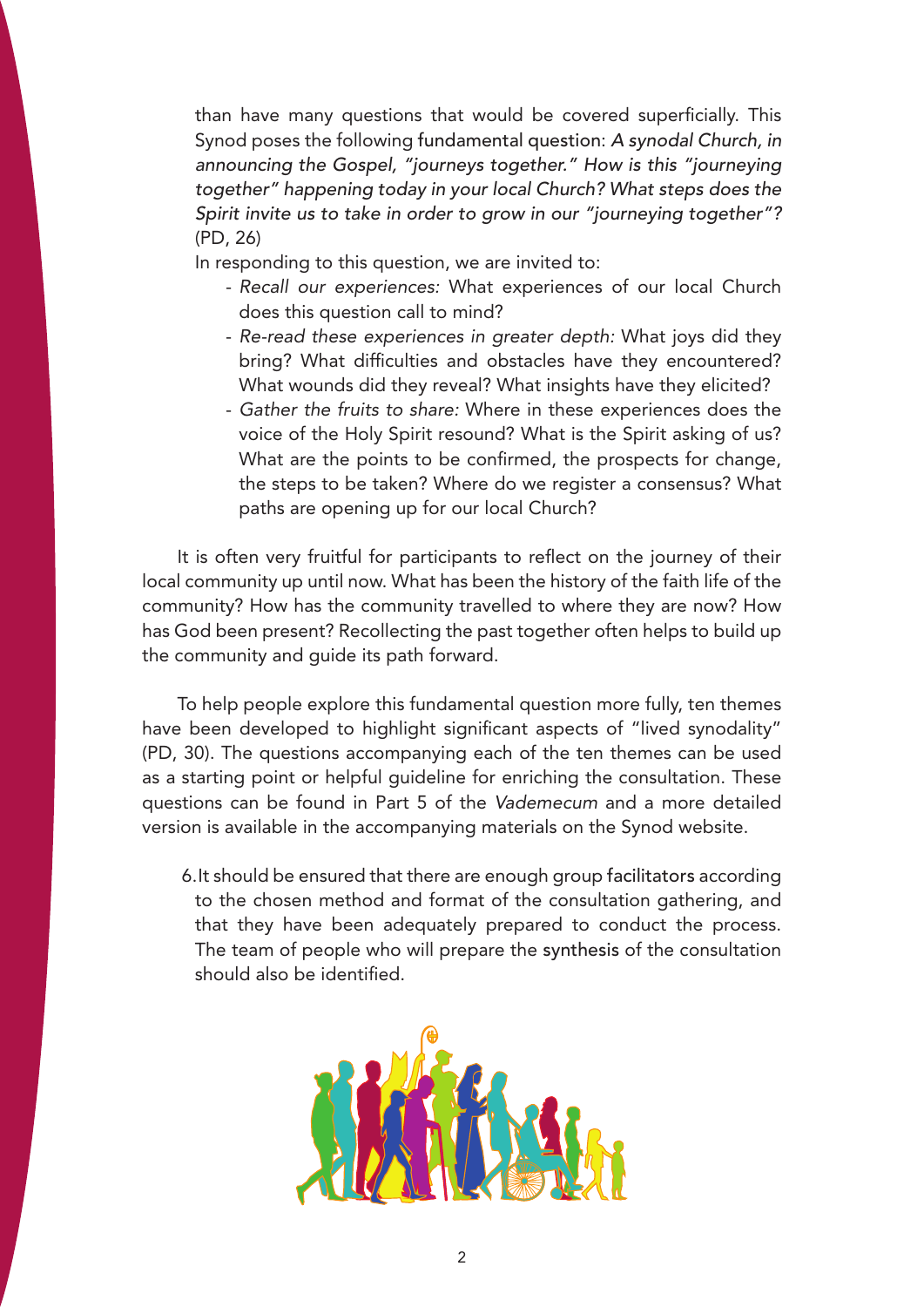than have many questions that would be covered superficially. This Synod poses the following fundamental question: *A synodal Church, in announcing the Gospel, "journeys together." How is this "journeying together" happening today in your local Church? What steps does the Spirit invite us to take in order to grow in our "journeying together"?*  (PD, 26)

In responding to this question, we are invited to:

- *Recall our experiences:* What experiences of our local Church does this question call to mind?
- *Re-read these experiences in greater depth:* What joys did they bring? What difficulties and obstacles have they encountered? What wounds did they reveal? What insights have they elicited?
- *Gather the fruits to share:* Where in these experiences does the voice of the Holy Spirit resound? What is the Spirit asking of us? What are the points to be confirmed, the prospects for change, the steps to be taken? Where do we register a consensus? What paths are opening up for our local Church?

It is often very fruitful for participants to reflect on the journey of their local community up until now. What has been the history of the faith life of the community? How has the community travelled to where they are now? How has God been present? Recollecting the past together often helps to build up the community and guide its path forward.

To help people explore this fundamental question more fully, ten themes have been developed to highlight significant aspects of "lived synodality" (PD, 30). The questions accompanying each of the ten themes can be used as a starting point or helpful guideline for enriching the consultation. These questions can be found in Part 5 of the *Vademecum* and a more detailed version is available in the accompanying materials on the Synod website.

6.It should be ensured that there are enough group facilitators according to the chosen method and format of the consultation gathering, and that they have been adequately prepared to conduct the process. The team of people who will prepare the synthesis of the consultation should also be identified.

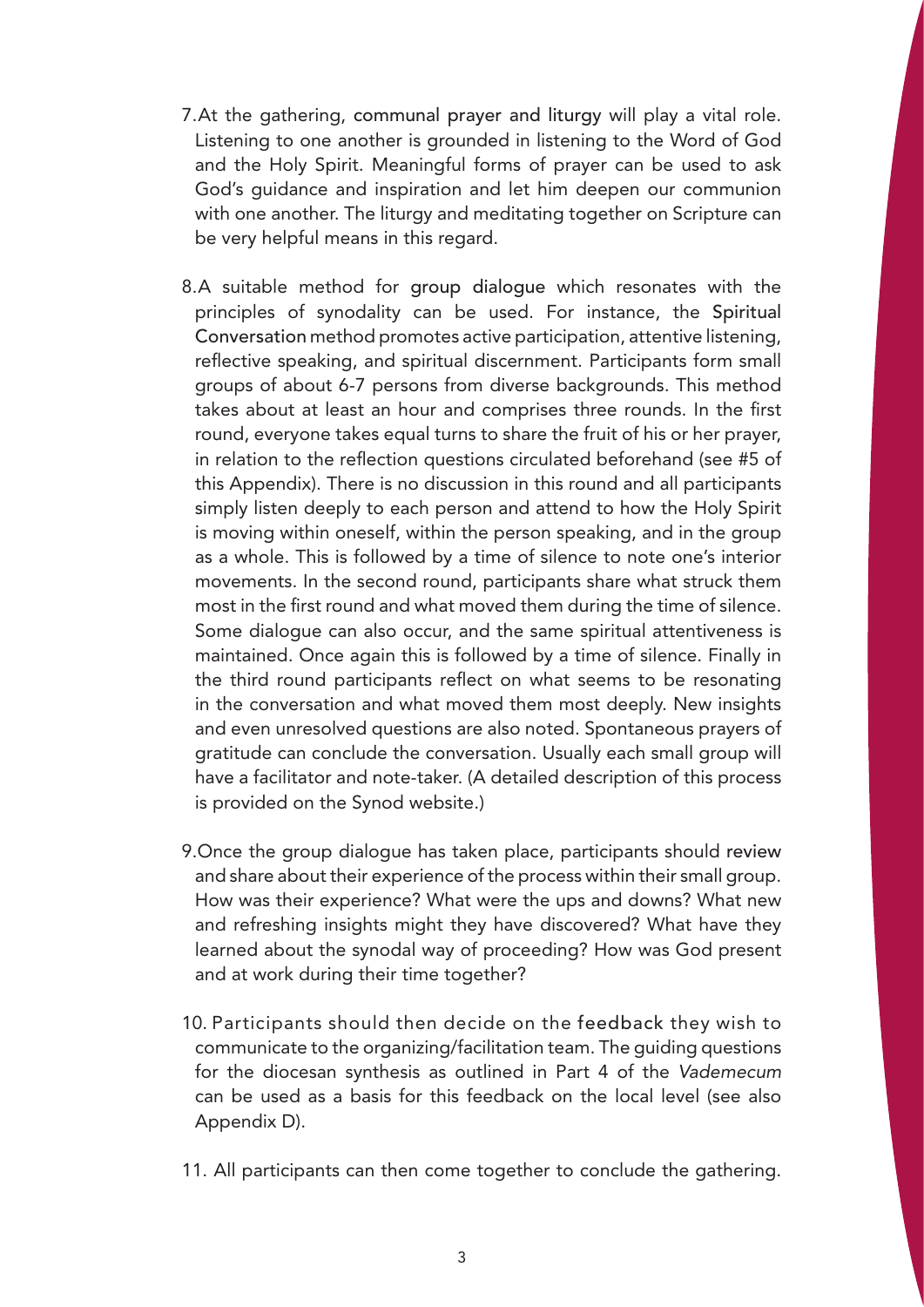- 7.At the gathering, communal prayer and liturgy will play a vital role. Listening to one another is grounded in listening to the Word of God and the Holy Spirit. Meaningful forms of prayer can be used to ask God's guidance and inspiration and let him deepen our communion with one another. The liturgy and meditating together on Scripture can be very helpful means in this regard.
- 8.A suitable method for group dialogue which resonates with the principles of synodality can be used. For instance, the Spiritual Conversation method promotes active participation, attentive listening, reflective speaking, and spiritual discernment. Participants form small groups of about 6-7 persons from diverse backgrounds. This method takes about at least an hour and comprises three rounds. In the first round, everyone takes equal turns to share the fruit of his or her prayer, in relation to the reflection questions circulated beforehand (see #5 of this Appendix). There is no discussion in this round and all participants simply listen deeply to each person and attend to how the Holy Spirit is moving within oneself, within the person speaking, and in the group as a whole. This is followed by a time of silence to note one's interior movements. In the second round, participants share what struck them most in the first round and what moved them during the time of silence. Some dialogue can also occur, and the same spiritual attentiveness is maintained. Once again this is followed by a time of silence. Finally in the third round participants reflect on what seems to be resonating in the conversation and what moved them most deeply. New insights and even unresolved questions are also noted. Spontaneous prayers of gratitude can conclude the conversation. Usually each small group will have a facilitator and note-taker. (A detailed description of this process is provided on the Synod website.)
- 9.Once the group dialogue has taken place, participants should review and share about their experience of the process within their small group. How was their experience? What were the ups and downs? What new and refreshing insights might they have discovered? What have they learned about the synodal way of proceeding? How was God present and at work during their time together?
- 10. Participants should then decide on the feedback they wish to communicate to the organizing/facilitation team. The guiding questions for the diocesan synthesis as outlined in Part 4 of the *Vademecum*  can be used as a basis for this feedback on the local level (see also Appendix D).
- 11. All participants can then come together to conclude the gathering.